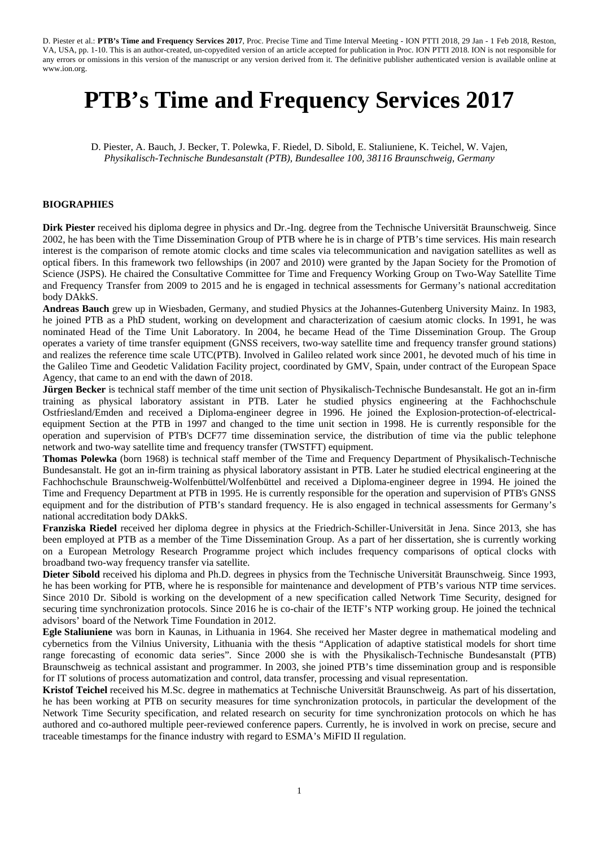# **PTB's Time and Frequency Services 2017**

D. Piester, A. Bauch, J. Becker, T. Polewka, F. Riedel, D. Sibold, E. Staliuniene, K. Teichel, W. Vajen, *Physikalisch-Technische Bundesanstalt (PTB), Bundesallee 100, 38116 Braunschweig, Germany*

## **BIOGRAPHIES**

**Dirk Piester** received his diploma degree in physics and Dr.-Ing. degree from the Technische Universität Braunschweig. Since 2002, he has been with the Time Dissemination Group of PTB where he is in charge of PTB's time services. His main research interest is the comparison of remote atomic clocks and time scales via telecommunication and navigation satellites as well as optical fibers. In this framework two fellowships (in 2007 and 2010) were granted by the Japan Society for the Promotion of Science (JSPS). He chaired the Consultative Committee for Time and Frequency Working Group on Two-Way Satellite Time and Frequency Transfer from 2009 to 2015 and he is engaged in technical assessments for Germany's national accreditation body DAkkS.

**Andreas Bauch** grew up in Wiesbaden, Germany, and studied Physics at the Johannes-Gutenberg University Mainz. In 1983, he joined PTB as a PhD student, working on development and characterization of caesium atomic clocks. In 1991, he was nominated Head of the Time Unit Laboratory. In 2004, he became Head of the Time Dissemination Group. The Group operates a variety of time transfer equipment (GNSS receivers, two-way satellite time and frequency transfer ground stations) and realizes the reference time scale UTC(PTB). Involved in Galileo related work since 2001, he devoted much of his time in the Galileo Time and Geodetic Validation Facility project, coordinated by GMV, Spain, under contract of the European Space Agency, that came to an end with the dawn of 2018.

**Jürgen Becker** is technical staff member of the time unit section of Physikalisch-Technische Bundesanstalt. He got an in-firm training as physical laboratory assistant in PTB. Later he studied physics engineering at the Fachhochschule Ostfriesland/Emden and received a Diploma-engineer degree in 1996. He joined the Explosion-protection-of-electricalequipment Section at the PTB in 1997 and changed to the time unit section in 1998. He is currently responsible for the operation and supervision of PTB's DCF77 time dissemination service, the distribution of time via the public telephone network and two-way satellite time and frequency transfer (TWSTFT) equipment.

**Thomas Polewka** (born 1968) is technical staff member of the Time and Frequency Department of Physikalisch-Technische Bundesanstalt. He got an in-firm training as physical laboratory assistant in PTB. Later he studied electrical engineering at the Fachhochschule Braunschweig-Wolfenbüttel/Wolfenbüttel and received a Diploma-engineer degree in 1994. He joined the Time and Frequency Department at PTB in 1995. He is currently responsible for the operation and supervision of PTB's GNSS equipment and for the distribution of PTB's standard frequency. He is also engaged in technical assessments for Germany's national accreditation body DAkkS.

**Franziska Riedel** received her diploma degree in physics at the Friedrich-Schiller-Universität in Jena. Since 2013, she has been employed at PTB as a member of the Time Dissemination Group. As a part of her dissertation, she is currently working on a European Metrology Research Programme project which includes frequency comparisons of optical clocks with broadband two-way frequency transfer via satellite.

**Dieter Sibold** received his diploma and Ph.D. degrees in physics from the Technische Universität Braunschweig. Since 1993, he has been working for PTB, where he is responsible for maintenance and development of PTB's various NTP time services. Since 2010 Dr. Sibold is working on the development of a new specification called Network Time Security, designed for securing time synchronization protocols. Since 2016 he is co-chair of the IETF's NTP working group. He joined the technical advisors' board of the Network Time Foundation in 2012.

**Egle Staliuniene** was born in Kaunas, in Lithuania in 1964. She received her Master degree in mathematical modeling and cybernetics from the Vilnius University, Lithuania with the thesis "Application of adaptive statistical models for short time range forecasting of economic data series". Since 2000 she is with the Physikalisch-Technische Bundesanstalt (PTB) Braunschweig as technical assistant and programmer. In 2003, she joined PTB's time dissemination group and is responsible for IT solutions of process automatization and control, data transfer, processing and visual representation.

**Kristof Teichel** received his M.Sc. degree in mathematics at Technische Universität Braunschweig. As part of his dissertation, he has been working at PTB on security measures for time synchronization protocols, in particular the development of the Network Time Security specification, and related research on security for time synchronization protocols on which he has authored and co-authored multiple peer-reviewed conference papers. Currently, he is involved in work on precise, secure and traceable timestamps for the finance industry with regard to ESMA's MiFID II regulation.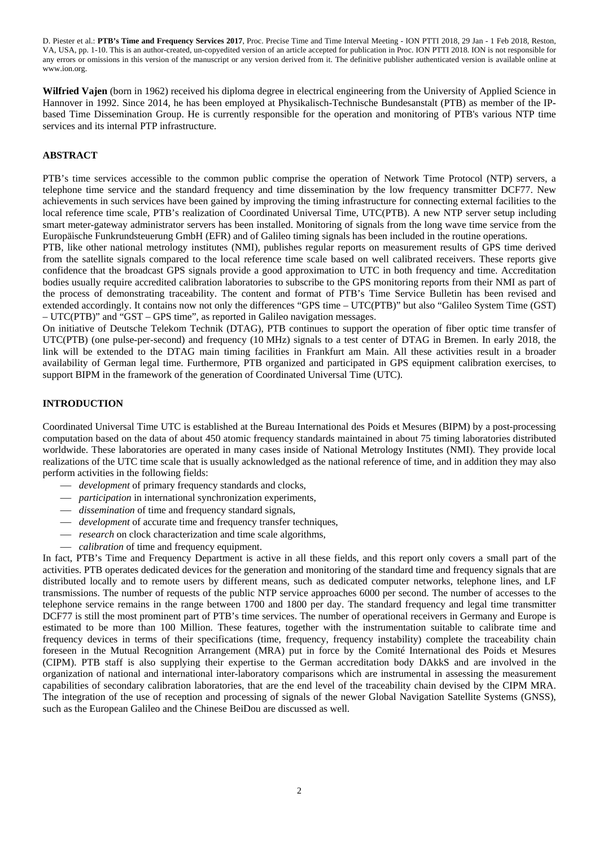**Wilfried Vajen** (born in 1962) received his diploma degree in electrical engineering from the University of Applied Science in Hannover in 1992. Since 2014, he has been employed at Physikalisch-Technische Bundesanstalt (PTB) as member of the IPbased Time Dissemination Group. He is currently responsible for the operation and monitoring of PTB's various NTP time services and its internal PTP infrastructure.

## **ABSTRACT**

PTB's time services accessible to the common public comprise the operation of Network Time Protocol (NTP) servers, a telephone time service and the standard frequency and time dissemination by the low frequency transmitter DCF77. New achievements in such services have been gained by improving the timing infrastructure for connecting external facilities to the local reference time scale, PTB's realization of Coordinated Universal Time, UTC(PTB). A new NTP server setup including smart meter-gateway administrator servers has been installed. Monitoring of signals from the long wave time service from the Europäische Funkrundsteuerung GmbH (EFR) and of Galileo timing signals has been included in the routine operations.

PTB, like other national metrology institutes (NMI), publishes regular reports on measurement results of GPS time derived from the satellite signals compared to the local reference time scale based on well calibrated receivers. These reports give confidence that the broadcast GPS signals provide a good approximation to UTC in both frequency and time. Accreditation bodies usually require accredited calibration laboratories to subscribe to the GPS monitoring reports from their NMI as part of the process of demonstrating traceability. The content and format of PTB's Time Service Bulletin has been revised and extended accordingly. It contains now not only the differences "GPS time – UTC(PTB)" but also "Galileo System Time (GST) – UTC(PTB)" and "GST – GPS time", as reported in Galileo navigation messages.

On initiative of Deutsche Telekom Technik (DTAG), PTB continues to support the operation of fiber optic time transfer of UTC(PTB) (one pulse-per-second) and frequency (10 MHz) signals to a test center of DTAG in Bremen. In early 2018, the link will be extended to the DTAG main timing facilities in Frankfurt am Main. All these activities result in a broader availability of German legal time. Furthermore, PTB organized and participated in GPS equipment calibration exercises, to support BIPM in the framework of the generation of Coordinated Universal Time (UTC).

## **INTRODUCTION**

Coordinated Universal Time UTC is established at the Bureau International des Poids et Mesures (BIPM) by a post-processing computation based on the data of about 450 atomic frequency standards maintained in about 75 timing laboratories distributed worldwide. These laboratories are operated in many cases inside of National Metrology Institutes (NMI). They provide local realizations of the UTC time scale that is usually acknowledged as the national reference of time, and in addition they may also perform activities in the following fields:

- *development* of primary frequency standards and clocks,
- *participation* in international synchronization experiments,
- *dissemination* of time and frequency standard signals,
- *development* of accurate time and frequency transfer techniques,
- *research* on clock characterization and time scale algorithms,
- *calibration* of time and frequency equipment.

In fact, PTB's Time and Frequency Department is active in all these fields, and this report only covers a small part of the activities. PTB operates dedicated devices for the generation and monitoring of the standard time and frequency signals that are distributed locally and to remote users by different means, such as dedicated computer networks, telephone lines, and LF transmissions. The number of requests of the public NTP service approaches 6000 per second. The number of accesses to the telephone service remains in the range between 1700 and 1800 per day. The standard frequency and legal time transmitter DCF77 is still the most prominent part of PTB's time services. The number of operational receivers in Germany and Europe is estimated to be more than 100 Million. These features, together with the instrumentation suitable to calibrate time and frequency devices in terms of their specifications (time, frequency, frequency instability) complete the traceability chain foreseen in the Mutual Recognition Arrangement (MRA) put in force by the Comité International des Poids et Mesures (CIPM). PTB staff is also supplying their expertise to the German accreditation body DAkkS and are involved in the organization of national and international inter-laboratory comparisons which are instrumental in assessing the measurement capabilities of secondary calibration laboratories, that are the end level of the traceability chain devised by the CIPM MRA. The integration of the use of reception and processing of signals of the newer Global Navigation Satellite Systems (GNSS), such as the European Galileo and the Chinese BeiDou are discussed as well.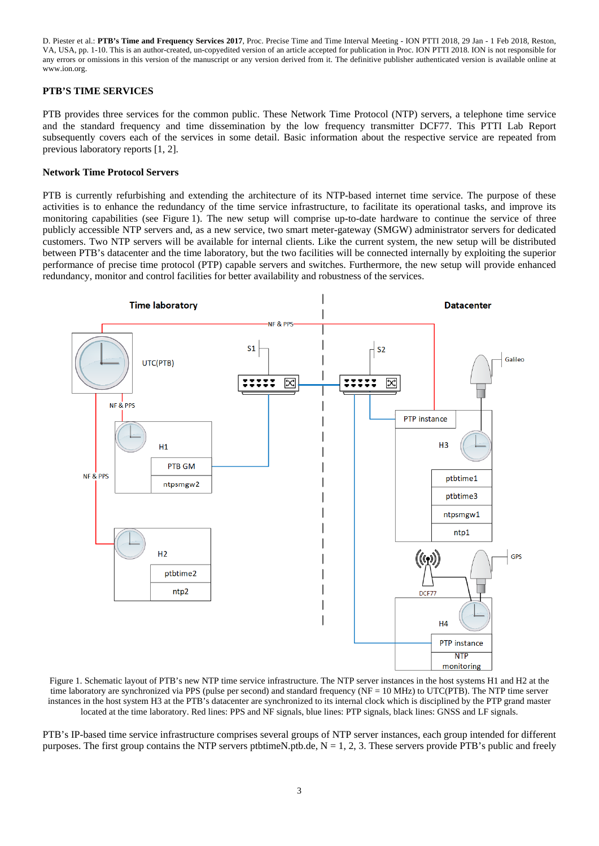## **PTB'S TIME SERVICES**

PTB provides three services for the common public. These Network Time Protocol (NTP) servers, a telephone time service and the standard frequency and time dissemination by the low frequency transmitter DCF77. This PTTI Lab Report subsequently covers each of the services in some detail. Basic information about the respective service are repeated from previous laboratory reports [1, 2].

#### **Network Time Protocol Servers**

PTB is currently refurbishing and extending the architecture of its NTP-based internet time service. The purpose of these activities is to enhance the redundancy of the time service infrastructure, to facilitate its operational tasks, and improve its monitoring capabilities (see Figure 1). The new setup will comprise up-to-date hardware to continue the service of three publicly accessible NTP servers and, as a new service, two smart meter-gateway (SMGW) administrator servers for dedicated customers. Two NTP servers will be available for internal clients. Like the current system, the new setup will be distributed between PTB's datacenter and the time laboratory, but the two facilities will be connected internally by exploiting the superior performance of precise time protocol (PTP) capable servers and switches. Furthermore, the new setup will provide enhanced redundancy, monitor and control facilities for better availability and robustness of the services.



Figure 1. Schematic layout of PTB's new NTP time service infrastructure. The NTP server instances in the host systems H1 and H2 at the time laboratory are synchronized via PPS (pulse per second) and standard frequency (NF = 10 MHz) to UTC(PTB). The NTP time server instances in the host system H3 at the PTB's datacenter are synchronized to its internal clock which is disciplined by the PTP grand master located at the time laboratory. Red lines: PPS and NF signals, blue lines: PTP signals, black lines: GNSS and LF signals.

PTB's IP-based time service infrastructure comprises several groups of NTP server instances, each group intended for different purposes. The first group contains the NTP servers ptbtimeN.ptb.de,  $N = 1, 2, 3$ . These servers provide PTB's public and freely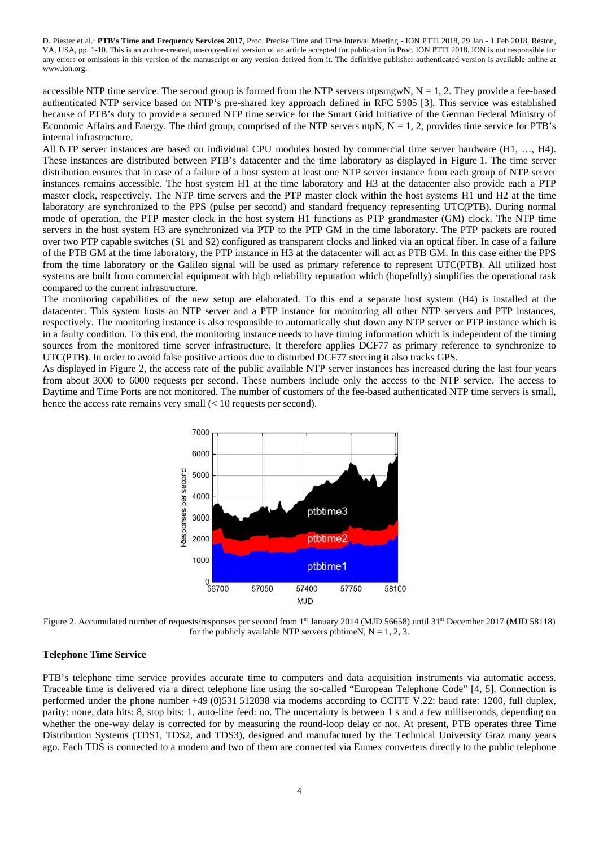accessible NTP time service. The second group is formed from the NTP servers ntpsmgwN,  $N = 1, 2$ . They provide a fee-based authenticated NTP service based on NTP's pre-shared key approach defined in RFC 5905 [3]. This service was established because of PTB's duty to provide a secured NTP time service for the Smart Grid Initiative of the German Federal Ministry of Economic Affairs and Energy. The third group, comprised of the NTP servers ntpN,  $N = 1$ , 2, provides time service for PTB's internal infrastructure.

All NTP server instances are based on individual CPU modules hosted by commercial time server hardware (H1, …, H4). These instances are distributed between PTB's datacenter and the time laboratory as displayed in Figure 1. The time server distribution ensures that in case of a failure of a host system at least one NTP server instance from each group of NTP server instances remains accessible. The host system H1 at the time laboratory and H3 at the datacenter also provide each a PTP master clock, respectively. The NTP time servers and the PTP master clock within the host systems H1 und H2 at the time laboratory are synchronized to the PPS (pulse per second) and standard frequency representing UTC(PTB). During normal mode of operation, the PTP master clock in the host system H1 functions as PTP grandmaster (GM) clock. The NTP time servers in the host system H3 are synchronized via PTP to the PTP GM in the time laboratory. The PTP packets are routed over two PTP capable switches (S1 and S2) configured as transparent clocks and linked via an optical fiber. In case of a failure of the PTB GM at the time laboratory, the PTP instance in H3 at the datacenter will act as PTB GM. In this case either the PPS from the time laboratory or the Galileo signal will be used as primary reference to represent UTC(PTB). All utilized host systems are built from commercial equipment with high reliability reputation which (hopefully) simplifies the operational task compared to the current infrastructure.

The monitoring capabilities of the new setup are elaborated. To this end a separate host system (H4) is installed at the datacenter. This system hosts an NTP server and a PTP instance for monitoring all other NTP servers and PTP instances, respectively. The monitoring instance is also responsible to automatically shut down any NTP server or PTP instance which is in a faulty condition. To this end, the monitoring instance needs to have timing information which is independent of the timing sources from the monitored time server infrastructure. It therefore applies DCF77 as primary reference to synchronize to UTC(PTB). In order to avoid false positive actions due to disturbed DCF77 steering it also tracks GPS.

As displayed in Figure 2, the access rate of the public available NTP server instances has increased during the last four years from about 3000 to 6000 requests per second. These numbers include only the access to the NTP service. The access to Daytime and Time Ports are not monitored. The number of customers of the fee-based authenticated NTP time servers is small, hence the access rate remains very small  $\ll 10$  requests per second).



Figure 2. Accumulated number of requests/responses per second from 1<sup>st</sup> January 2014 (MJD 56658) until 31<sup>st</sup> December 2017 (MJD 58118) for the publicly available NTP servers ptbtimeN,  $N = 1, 2, 3$ .

#### **Telephone Time Service**

PTB's telephone time service provides accurate time to computers and data acquisition instruments via automatic access. Traceable time is delivered via a direct telephone line using the so-called "European Telephone Code" [4, 5]. Connection is performed under the phone number +49 (0)531 512038 via modems according to CCITT V.22: baud rate: 1200, full duplex, parity: none, data bits: 8, stop bits: 1, auto-line feed: no. The uncertainty is between 1 s and a few milliseconds, depending on whether the one-way delay is corrected for by measuring the round-loop delay or not. At present, PTB operates three Time Distribution Systems (TDS1, TDS2, and TDS3), designed and manufactured by the Technical University Graz many years ago. Each TDS is connected to a modem and two of them are connected via Eumex converters directly to the public telephone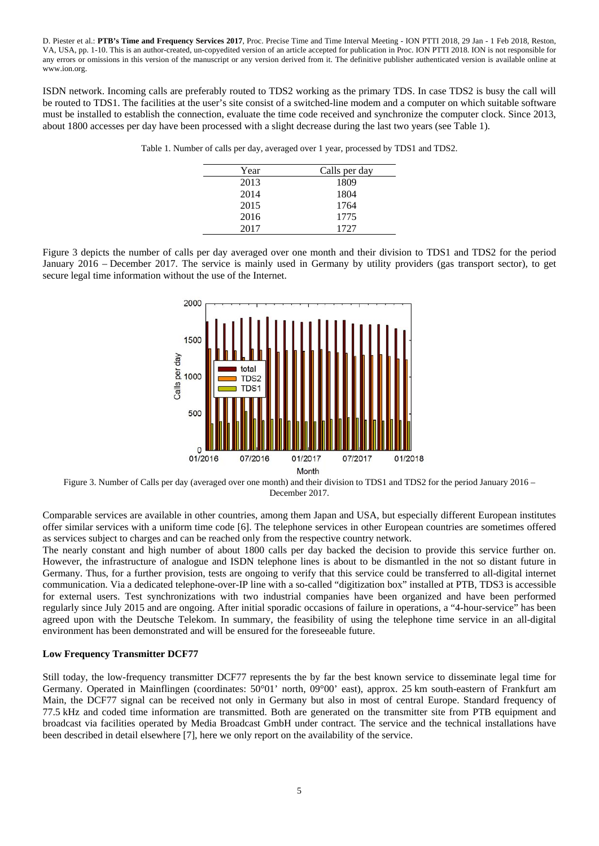ISDN network. Incoming calls are preferably routed to TDS2 working as the primary TDS. In case TDS2 is busy the call will be routed to TDS1. The facilities at the user's site consist of a switched-line modem and a computer on which suitable software must be installed to establish the connection, evaluate the time code received and synchronize the computer clock. Since 2013, about 1800 accesses per day have been processed with a slight decrease during the last two years (see Table 1).

| Year | Calls per day |
|------|---------------|
| 2013 | 1809          |
| 2014 | 1804          |
| 2015 | 1764          |
| 2016 | 1775          |
| 2017 | 1727          |

Table 1. Number of calls per day, averaged over 1 year, processed by TDS1 and TDS2.

Figure 3 depicts the number of calls per day averaged over one month and their division to TDS1 and TDS2 for the period January 2016 – December 2017. The service is mainly used in Germany by utility providers (gas transport sector), to get secure legal time information without the use of the Internet.



Figure 3. Number of Calls per day (averaged over one month) and their division to TDS1 and TDS2 for the period January 2016 – December 2017.

Comparable services are available in other countries, among them Japan and USA, but especially different European institutes offer similar services with a uniform time code [6]. The telephone services in other European countries are sometimes offered as services subject to charges and can be reached only from the respective country network.

The nearly constant and high number of about 1800 calls per day backed the decision to provide this service further on. However, the infrastructure of analogue and ISDN telephone lines is about to be dismantled in the not so distant future in Germany. Thus, for a further provision, tests are ongoing to verify that this service could be transferred to all-digital internet communication. Via a dedicated telephone-over-IP line with a so-called "digitization box" installed at PTB, TDS3 is accessible for external users. Test synchronizations with two industrial companies have been organized and have been performed regularly since July 2015 and are ongoing. After initial sporadic occasions of failure in operations, a "4-hour-service" has been agreed upon with the Deutsche Telekom. In summary, the feasibility of using the telephone time service in an all-digital environment has been demonstrated and will be ensured for the foreseeable future.

## **Low Frequency Transmitter DCF77**

Still today, the low-frequency transmitter DCF77 represents the by far the best known service to disseminate legal time for Germany. Operated in Mainflingen (coordinates: 50°01' north, 09°00' east), approx. 25 km south-eastern of Frankfurt am Main, the DCF77 signal can be received not only in Germany but also in most of central Europe. Standard frequency of 77.5 kHz and coded time information are transmitted. Both are generated on the transmitter site from PTB equipment and broadcast via facilities operated by Media Broadcast GmbH under contract. The service and the technical installations have been described in detail elsewhere [7], here we only report on the availability of the service.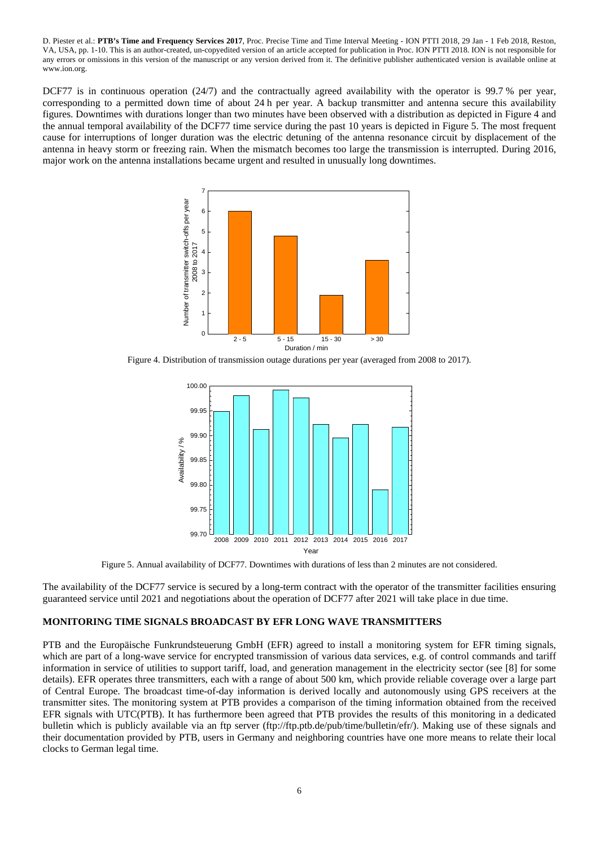DCF77 is in continuous operation (24/7) and the contractually agreed availability with the operator is 99.7 % per year, corresponding to a permitted down time of about 24 h per year. A backup transmitter and antenna secure this availability figures. Downtimes with durations longer than two minutes have been observed with a distribution as depicted in Figure 4 and the annual temporal availability of the DCF77 time service during the past 10 years is depicted in Figure 5. The most frequent cause for interruptions of longer duration was the electric detuning of the antenna resonance circuit by displacement of the antenna in heavy storm or freezing rain. When the mismatch becomes too large the transmission is interrupted. During 2016, major work on the antenna installations became urgent and resulted in unusually long downtimes.



Figure 4. Distribution of transmission outage durations per year (averaged from 2008 to 2017).



Figure 5. Annual availability of DCF77. Downtimes with durations of less than 2 minutes are not considered.

The availability of the DCF77 service is secured by a long-term contract with the operator of the transmitter facilities ensuring guaranteed service until 2021 and negotiations about the operation of DCF77 after 2021 will take place in due time.

## **MONITORING TIME SIGNALS BROADCAST BY EFR LONG WAVE TRANSMITTERS**

PTB and the Europäische Funkrundsteuerung GmbH (EFR) agreed to install a monitoring system for EFR timing signals, which are part of a long-wave service for encrypted transmission of various data services, e.g. of control commands and tariff information in service of utilities to support tariff, load, and generation management in the electricity sector (see [8] for some details). EFR operates three transmitters, each with a range of about 500 km, which provide reliable coverage over a large part of Central Europe. The broadcast time-of-day information is derived locally and autonomously using GPS receivers at the transmitter sites. The monitoring system at PTB provides a comparison of the timing information obtained from the received EFR signals with UTC(PTB). It has furthermore been agreed that PTB provides the results of this monitoring in a dedicated bulletin which is publicly available via an ftp server (ftp://ftp.ptb.de/pub/time/bulletin/efr/). Making use of these signals and their documentation provided by PTB, users in Germany and neighboring countries have one more means to relate their local clocks to German legal time.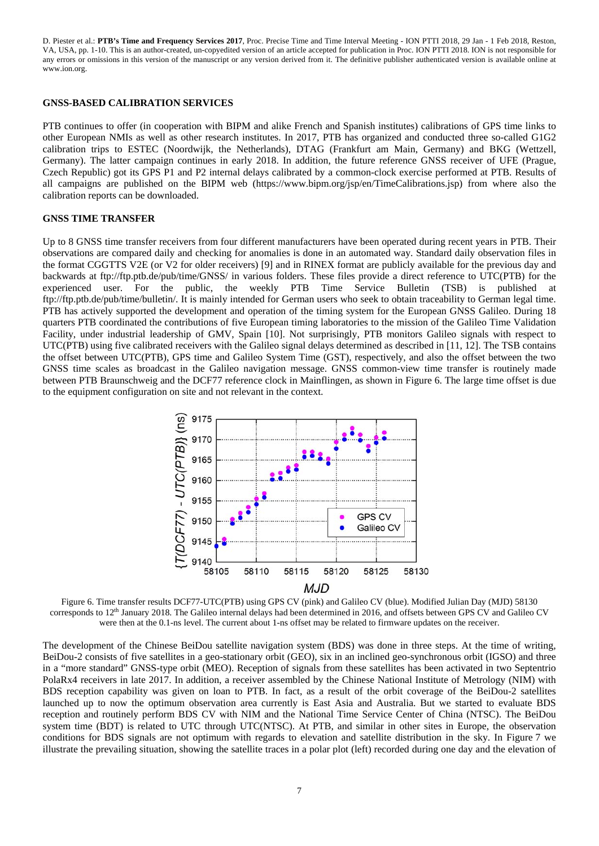#### **GNSS-BASED CALIBRATION SERVICES**

PTB continues to offer (in cooperation with BIPM and alike French and Spanish institutes) calibrations of GPS time links to other European NMIs as well as other research institutes. In 2017, PTB has organized and conducted three so-called G1G2 calibration trips to ESTEC (Noordwijk, the Netherlands), DTAG (Frankfurt am Main, Germany) and BKG (Wettzell, Germany). The latter campaign continues in early 2018. In addition, the future reference GNSS receiver of UFE (Prague, Czech Republic) got its GPS P1 and P2 internal delays calibrated by a common-clock exercise performed at PTB. Results of all campaigns are published on the BIPM web (https://www.bipm.org/jsp/en/TimeCalibrations.jsp) from where also the calibration reports can be downloaded.

#### **GNSS TIME TRANSFER**

Up to 8 GNSS time transfer receivers from four different manufacturers have been operated during recent years in PTB. Their observations are compared daily and checking for anomalies is done in an automated way. Standard daily observation files in the format CGGTTS V2E (or V2 for older receivers) [9] and in RINEX format are publicly available for the previous day and backwards at ftp://ftp.ptb.de/pub/time/GNSS/ in various folders. These files provide a direct reference to UTC(PTB) for the experienced user. For the public, the weekly PTB Time Service Bulletin (TSB) is published at ftp://ftp.ptb.de/pub/time/bulletin/. It is mainly intended for German users who seek to obtain traceability to German legal time. PTB has actively supported the development and operation of the timing system for the European GNSS Galileo. During 18 quarters PTB coordinated the contributions of five European timing laboratories to the mission of the Galileo Time Validation Facility, under industrial leadership of GMV, Spain [10]. Not surprisingly, PTB monitors Galileo signals with respect to UTC(PTB) using five calibrated receivers with the Galileo signal delays determined as described in [11, 12]. The TSB contains the offset between UTC(PTB), GPS time and Galileo System Time (GST), respectively, and also the offset between the two GNSS time scales as broadcast in the Galileo navigation message. GNSS common-view time transfer is routinely made between PTB Braunschweig and the DCF77 reference clock in Mainflingen, as shown in Figure 6. The large time offset is due to the equipment configuration on site and not relevant in the context.



Figure 6. Time transfer results DCF77-UTC(PTB) using GPS CV (pink) and Galileo CV (blue). Modified Julian Day (MJD) 58130 corresponds to 12<sup>th</sup> January 2018. The Galileo internal delays had been determined in 2016, and offsets between GPS CV and Galileo CV were then at the 0.1-ns level. The current about 1-ns offset may be related to firmware updates on the receiver.

The development of the Chinese BeiDou satellite navigation system (BDS) was done in three steps. At the time of writing, BeiDou-2 consists of five satellites in a geo-stationary orbit (GEO), six in an inclined geo-synchronous orbit (IGSO) and three in a "more standard" GNSS-type orbit (MEO). Reception of signals from these satellites has been activated in two Septentrio PolaRx4 receivers in late 2017. In addition, a receiver assembled by the Chinese National Institute of Metrology (NIM) with BDS reception capability was given on loan to PTB. In fact, as a result of the orbit coverage of the BeiDou-2 satellites launched up to now the optimum observation area currently is East Asia and Australia. But we started to evaluate BDS reception and routinely perform BDS CV with NIM and the National Time Service Center of China (NTSC). The BeiDou system time (BDT) is related to UTC through UTC(NTSC). At PTB, and similar in other sites in Europe, the observation conditions for BDS signals are not optimum with regards to elevation and satellite distribution in the sky. In Figure 7 we illustrate the prevailing situation, showing the satellite traces in a polar plot (left) recorded during one day and the elevation of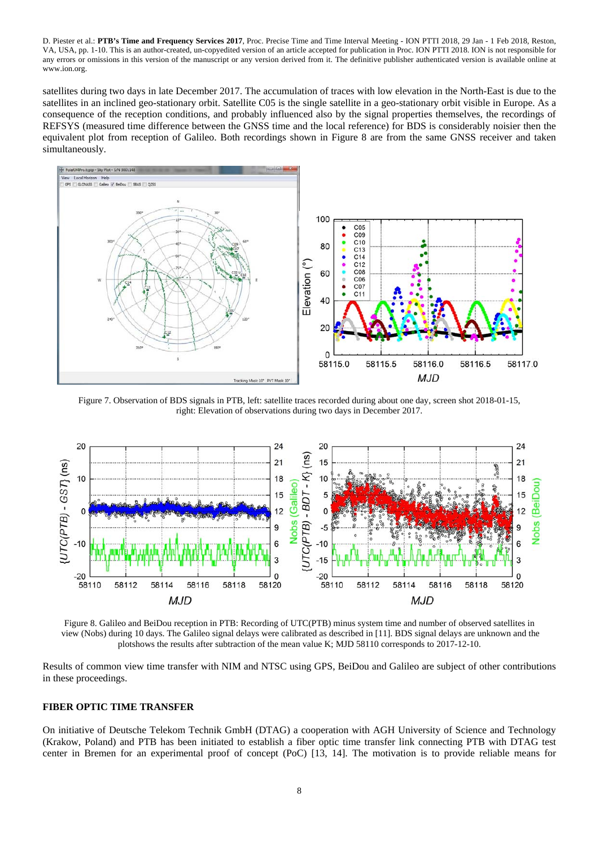satellites during two days in late December 2017. The accumulation of traces with low elevation in the North-East is due to the satellites in an inclined geo-stationary orbit. Satellite C05 is the single satellite in a geo-stationary orbit visible in Europe. As a consequence of the reception conditions, and probably influenced also by the signal properties themselves, the recordings of REFSYS (measured time difference between the GNSS time and the local reference) for BDS is considerably noisier then the equivalent plot from reception of Galileo. Both recordings shown in Figure 8 are from the same GNSS receiver and taken simultaneously.



Figure 7. Observation of BDS signals in PTB, left: satellite traces recorded during about one day, screen shot 2018-01-15, right: Elevation of observations during two days in December 2017.



Figure 8. Galileo and BeiDou reception in PTB: Recording of UTC(PTB) minus system time and number of observed satellites in view (Nobs) during 10 days. The Galileo signal delays were calibrated as described in [11]. BDS signal delays are unknown and the plotshows the results after subtraction of the mean value K; MJD 58110 corresponds to 2017-12-10.

Results of common view time transfer with NIM and NTSC using GPS, BeiDou and Galileo are subject of other contributions in these proceedings.

#### **FIBER OPTIC TIME TRANSFER**

On initiative of Deutsche Telekom Technik GmbH (DTAG) a cooperation with AGH University of Science and Technology (Krakow, Poland) and PTB has been initiated to establish a fiber optic time transfer link connecting PTB with DTAG test center in Bremen for an experimental proof of concept (PoC) [13, 14]. The motivation is to provide reliable means for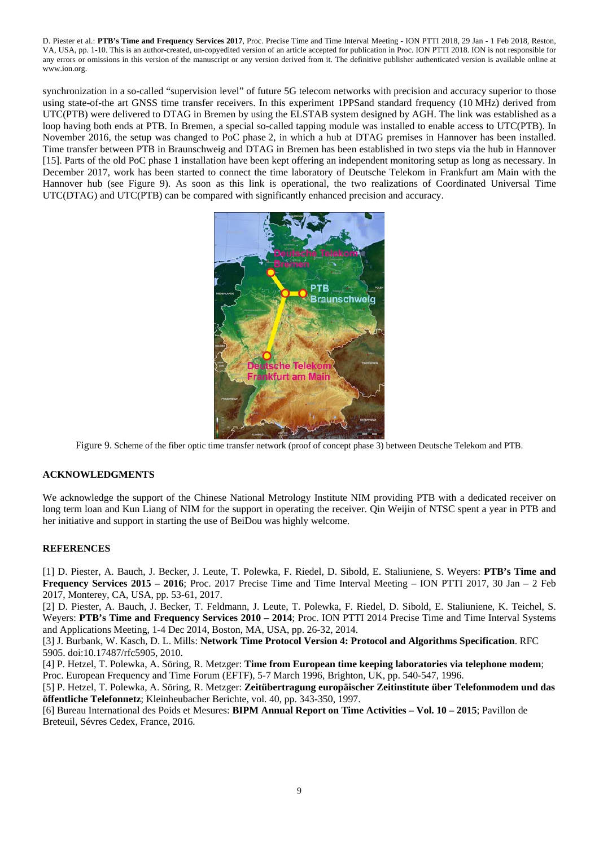synchronization in a so-called "supervision level" of future 5G telecom networks with precision and accuracy superior to those using state-of-the art GNSS time transfer receivers. In this experiment 1PPSand standard frequency (10 MHz) derived from UTC(PTB) were delivered to DTAG in Bremen by using the ELSTAB system designed by AGH. The link was established as a loop having both ends at PTB. In Bremen, a special so-called tapping module was installed to enable access to UTC(PTB). In November 2016, the setup was changed to PoC phase 2, in which a hub at DTAG premises in Hannover has been installed. Time transfer between PTB in Braunschweig and DTAG in Bremen has been established in two steps via the hub in Hannover [15]. Parts of the old PoC phase 1 installation have been kept offering an independent monitoring setup as long as necessary. In December 2017, work has been started to connect the time laboratory of Deutsche Telekom in Frankfurt am Main with the Hannover hub (see Figure 9). As soon as this link is operational, the two realizations of Coordinated Universal Time UTC(DTAG) and UTC(PTB) can be compared with significantly enhanced precision and accuracy.



Figure 9. Scheme of the fiber optic time transfer network (proof of concept phase 3) between Deutsche Telekom and PTB.

# **ACKNOWLEDGMENTS**

We acknowledge the support of the Chinese National Metrology Institute NIM providing PTB with a dedicated receiver on long term loan and Kun Liang of NIM for the support in operating the receiver. Qin Weijin of NTSC spent a year in PTB and her initiative and support in starting the use of BeiDou was highly welcome.

# **REFERENCES**

[1] D. Piester, A. Bauch, J. Becker, J. Leute, T. Polewka, F. Riedel, D. Sibold, E. Staliuniene, S. Weyers: **PTB's Time and Frequency Services 2015 – 2016**; Proc. 2017 Precise Time and Time Interval Meeting – ION PTTI 2017, 30 Jan – 2 Feb 2017, Monterey, CA, USA, pp. 53-61, 2017.

[2] D. Piester, A. Bauch, J. Becker, T. Feldmann, J. Leute, T. Polewka, F. Riedel, D. Sibold, E. Staliuniene, K. Teichel, S. Weyers: **PTB's Time and Frequency Services 2010 – 2014**; Proc. ION PTTI 2014 Precise Time and Time Interval Systems and Applications Meeting, 1-4 Dec 2014, Boston, MA, USA, pp. 26-32, 2014.

[3] J. Burbank, W. Kasch, D. L. Mills: **Network Time Protocol Version 4: Protocol and Algorithms Specification**. RFC 5905. doi:10.17487/rfc5905, 2010.

[4] P. Hetzel, T. Polewka, A. Söring, R. Metzger: **Time from European time keeping laboratories via telephone modem**; Proc. European Frequency and Time Forum (EFTF), 5-7 March 1996, Brighton, UK, pp. 540-547, 1996.

[5] P. Hetzel, T. Polewka, A. Söring, R. Metzger: **Zeitübertragung europäischer Zeitinstitute über Telefonmodem und das öffentliche Telefonnetz**; Kleinheubacher Berichte, vol. 40, pp. 343-350, 1997.

[6] Bureau International des Poids et Mesures: **BIPM Annual Report on Time Activities – Vol. 10 – 2015**; Pavillon de Breteuil, Sévres Cedex, France, 2016.